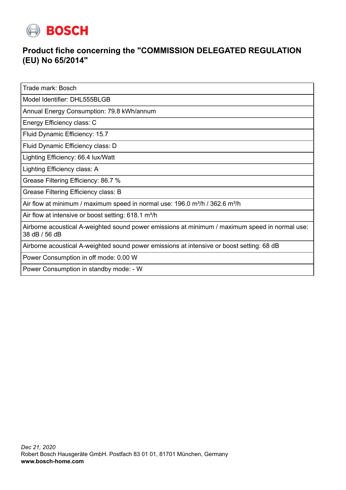

## **Product fiche concerning the "COMMISSION DELEGATED REGULATION (EU) No 65/2014"**

Trade mark: Bosch

Model Identifier: DHL555BLGB

Annual Energy Consumption: 79.8 kWh/annum

Energy Efficiency class: C

Fluid Dynamic Efficiency: 15.7

Fluid Dynamic Efficiency class: D

Lighting Efficiency: 66.4 lux/Watt

Lighting Efficiency class: A

Grease Filtering Efficiency: 86.7 %

Grease Filtering Efficiency class: B

Air flow at minimum / maximum speed in normal use:  $196.0$  m<sup>3</sup>/h / 362.6 m<sup>3</sup>/h

Air flow at intensive or boost setting:  $618.1 \text{ m}^3/\text{h}$ 

Airborne acoustical A-weighted sound power emissions at minimum / maximum speed in normal use: 38 dB / 56 dB

Airborne acoustical A-weighted sound power emissions at intensive or boost setting: 68 dB

Power Consumption in off mode: 0.00 W

Power Consumption in standby mode: - W